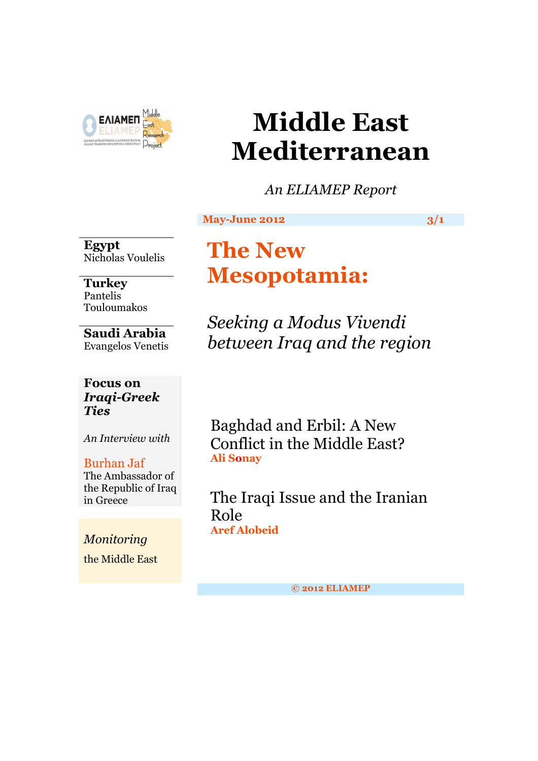

# **Middle East Mediterranean**

*An ELIAMEP Report* 

**May-June 2012** 3/1

**Egypt**  Nicholas Voulelis

**Turkey**  Pantelis Touloumakos

**Saudi Arabia**  Evangelos Venetis

## **Focus on**  *Iraqi-Greek Ties*

*An Interview with* 

# Burhan Jaf

The Ambassador of the Republic of Iraq in Greece

*Monitoring* 

the Middle East

# **The New Mesopotamia:**

*Seeking a Modus Vivendi between Iraq and the region* 

Baghdad and Erbil: A New Conflict in the Middle East? **Ali Sonay**

The Iraqi Issue and the Iranian Role **Aref Alobeid** 

**© 2012 ELIAMEP**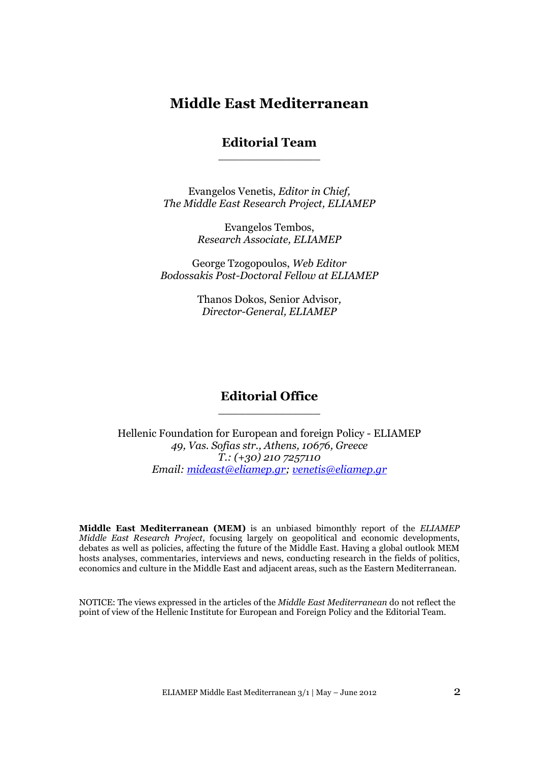## **Middle East Mediterranean**

## **Editorial Team**  \_\_\_\_\_\_\_\_\_\_\_\_\_\_\_

Evangelos Venetis, *Editor in Chief, The Middle East Research Project, ELIAMEP*

> Evangelos Tembos, *Research Associate, ELIAMEP*

George Tzogopoulos, *Web Editor Bodossakis Post-Doctoral Fellow at ELIAMEP* 

> Thanos Dokos, Senior Advisor*, Director-General, ELIAMEP*

## **Editorial Office**  \_\_\_\_\_\_\_\_\_\_\_\_\_\_\_

Hellenic Foundation for European and foreign Policy - ELIAMEP *49, Vas. Sofias str., Athens, 10676, Greece T.: (+30) 210 7257110 Email: mideast@eliamep.gr; venetis@eliamep.gr*

**Middle East Mediterranean (MEM)** is an unbiased bimonthly report of the *ELIAMEP Middle East Research Project*, focusing largely on geopolitical and economic developments, debates as well as policies, affecting the future of the Middle East. Having a global outlook MEM hosts analyses, commentaries, interviews and news, conducting research in the fields of politics, economics and culture in the Middle East and adjacent areas, such as the Eastern Mediterranean.

NOTICE: The views expressed in the articles of the *Middle East Mediterranean* do not reflect the point of view of the Hellenic Institute for European and Foreign Policy and the Editorial Team.

ELIAMEP Middle East Mediterranean  $3/1$  | May – June 2012 2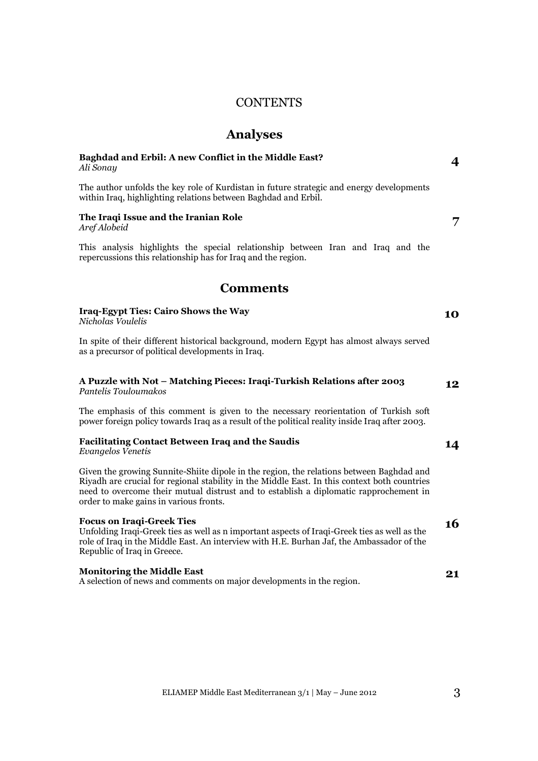## **CONTENTS**

# **Analyses**

| Baghdad and Erbil: A new Conflict in the Middle East?<br>Ali Sonay                                                                                                                                                                                                                                                          | 4  |
|-----------------------------------------------------------------------------------------------------------------------------------------------------------------------------------------------------------------------------------------------------------------------------------------------------------------------------|----|
| The author unfolds the key role of Kurdistan in future strategic and energy developments<br>within Iraq, highlighting relations between Baghdad and Erbil.                                                                                                                                                                  |    |
| The Iraqi Issue and the Iranian Role<br>Aref Alobeid                                                                                                                                                                                                                                                                        | 7  |
| This analysis highlights the special relationship between Iran and Iraq and the<br>repercussions this relationship has for Iraq and the region.                                                                                                                                                                             |    |
| <b>Comments</b>                                                                                                                                                                                                                                                                                                             |    |
| <b>Iraq-Egypt Ties: Cairo Shows the Way</b><br>Nicholas Voulelis                                                                                                                                                                                                                                                            | 10 |
| In spite of their different historical background, modern Egypt has almost always served<br>as a precursor of political developments in Iraq.                                                                                                                                                                               |    |
| A Puzzle with Not - Matching Pieces: Iraqi-Turkish Relations after 2003<br>Pantelis Touloumakos                                                                                                                                                                                                                             | 12 |
| The emphasis of this comment is given to the necessary reorientation of Turkish soft<br>power foreign policy towards Iraq as a result of the political reality inside Iraq after 2003.                                                                                                                                      |    |
| <b>Facilitating Contact Between Iraq and the Saudis</b><br>Evangelos Venetis                                                                                                                                                                                                                                                | 14 |
| Given the growing Sunnite-Shiite dipole in the region, the relations between Baghdad and<br>Riyadh are crucial for regional stability in the Middle East. In this context both countries<br>need to overcome their mutual distrust and to establish a diplomatic rapprochement in<br>order to make gains in various fronts. |    |
| <b>Focus on Iraqi-Greek Ties</b><br>Unfolding Iraqi-Greek ties as well as n important aspects of Iraqi-Greek ties as well as the<br>role of Iraq in the Middle East. An interview with H.E. Burhan Jaf, the Ambassador of the<br>Republic of Iraq in Greece.                                                                | 16 |
| <b>Monitoring the Middle East</b><br>A selection of news and comments on major developments in the region.                                                                                                                                                                                                                  | 21 |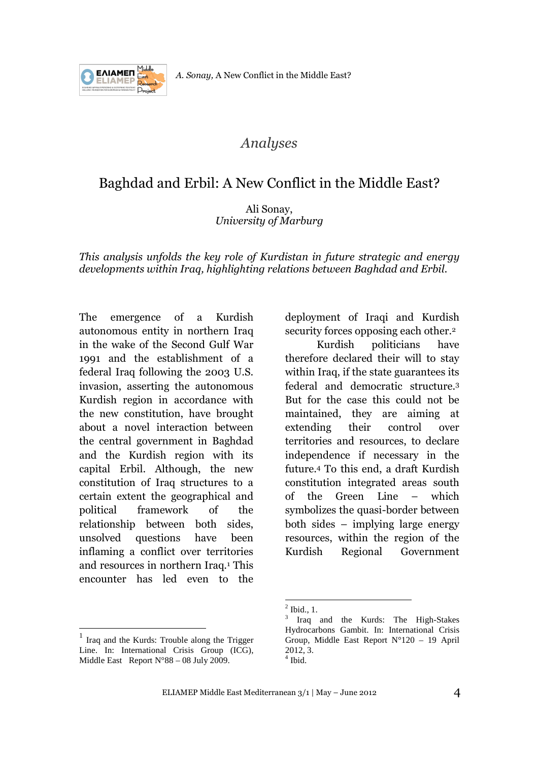

## *Analyses*

## Baghdad and Erbil: A New Conflict in the Middle East?

Ali Sonay, *University of Marburg* 

*This analysis unfolds the key role of Kurdistan in future strategic and energy developments within Iraq, highlighting relations between Baghdad and Erbil.* 

The emergence of a Kurdish autonomous entity in northern Iraq in the wake of the Second Gulf War 1991 and the establishment of a federal Iraq following the 2003 U.S. invasion, asserting the autonomous Kurdish region in accordance with the new constitution, have brought about a novel interaction between the central government in Baghdad and the Kurdish region with its capital Erbil. Although, the new constitution of Iraq structures to a certain extent the geographical and political framework of the relationship between both sides, unsolved questions have been inflaming a conflict over territories and resources in northern Iraq.<sup>1</sup> This encounter has led even to the

-

deployment of Iraqi and Kurdish security forces opposing each other.<sup>2</sup>

Kurdish politicians have therefore declared their will to stay within Iraq, if the state guarantees its federal and democratic structure.<sup>3</sup> But for the case this could not be maintained, they are aiming at extending their control over territories and resources, to declare independence if necessary in the future.4 To this end, a draft Kurdish constitution integrated areas south of the Green Line – which symbolizes the quasi-border between both sides – implying large energy resources, within the region of the Kurdish Regional Government

<sup>1</sup> Iraq and the Kurds: Trouble along the Trigger Line. In: International Crisis Group (ICG), Middle East Report N°88 – 08 July 2009.

 $\frac{1}{2}$  Ibid., 1.

<sup>3</sup> Iraq and the Kurds: The High-Stakes Hydrocarbons Gambit. In: International Crisis Group, Middle East Report N°120 – 19 April  $2012, 3.$ 4 Ibid.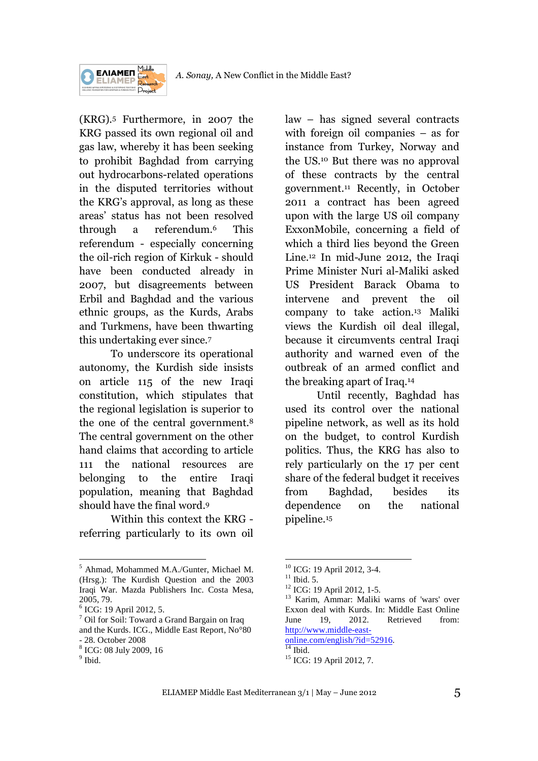



(KRG).5 Furthermore, in 2007 the KRG passed its own regional oil and gas law, whereby it has been seeking to prohibit Baghdad from carrying out hydrocarbons-related operations in the disputed territories without the KRG's approval, as long as these areas' status has not been resolved through a referendum.6 This referendum - especially concerning the oil-rich region of Kirkuk - should have been conducted already in 2007, but disagreements between Erbil and Baghdad and the various ethnic groups, as the Kurds, Arabs and Turkmens, have been thwarting this undertaking ever since.<sup>7</sup>

To underscore its operational autonomy, the Kurdish side insists on article 115 of the new Iraqi constitution, which stipulates that the regional legislation is superior to the one of the central government.<sup>8</sup> The central government on the other hand claims that according to article 111 the national resources are belonging to the entire Iraqi population, meaning that Baghdad should have the final word.<sup>9</sup>

Within this context the KRG referring particularly to its own oil

-

law – has signed several contracts with foreign oil companies – as for instance from Turkey, Norway and the US.<sup>10</sup> But there was no approval of these contracts by the central government.<sup>11</sup> Recently, in October 2011 a contract has been agreed upon with the large US oil company ExxonMobile, concerning a field of which a third lies beyond the Green Line.12 In mid-June 2012, the Iraqi Prime Minister Nuri al-Maliki asked US President Barack Obama to intervene and prevent the oil company to take action.13 Maliki views the Kurdish oil deal illegal, because it circumvents central Iraqi authority and warned even of the outbreak of an armed conflict and the breaking apart of Iraq.<sup>14</sup>

Until recently, Baghdad has used its control over the national pipeline network, as well as its hold on the budget, to control Kurdish politics. Thus, the KRG has also to rely particularly on the 17 per cent share of the federal budget it receives from Baghdad, besides its dependence on the national pipeline.<sup>15</sup>

online.com/english/?id=52916.  $14$  Ibid.

 $\overline{a}$ 

<sup>5</sup> Ahmad, Mohammed M.A./Gunter, Michael M. (Hrsg.): The Kurdish Question and the 2003 Iraqi War. Mazda Publishers Inc. Costa Mesa, 2005, 79.

<sup>6</sup> ICG: 19 April 2012, 5.

<sup>7</sup> Oil for Soil: Toward a Grand Bargain on Iraq and the Kurds. ICG., Middle East Report, No°80

<sup>- 28.</sup> October 2008

<sup>8</sup> ICG: 08 July 2009, 16

<sup>&</sup>lt;sup>9</sup> Ibid.

<sup>&</sup>lt;sup>10</sup> ICG: 19 April 2012, 3-4.

 $11$  Ibid. 5.

<sup>&</sup>lt;sup>12</sup> ICG: 19 April 2012, 1-5.

<sup>13</sup> Karim, Ammar: Maliki warns of 'wars' over Exxon deal with Kurds. In: Middle East Online<br>
lune 19 2012 Retrieved from:  $\frac{10}{2012}$  Retrieved http://www.middle-east-

<sup>&</sup>lt;sup>15</sup> ICG: 19 April 2012, 7.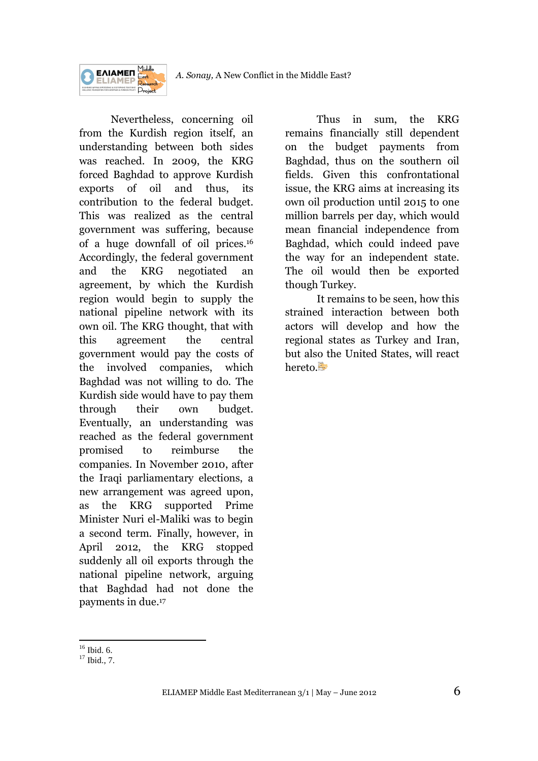

**EAIAMEN** Middle **ELIAMEP** 

Nevertheless, concerning oil from the Kurdish region itself, an understanding between both sides was reached. In 2009, the KRG forced Baghdad to approve Kurdish exports of oil and thus, its contribution to the federal budget. This was realized as the central government was suffering, because of a huge downfall of oil prices.<sup>16</sup> Accordingly, the federal government and the KRG negotiated an agreement, by which the Kurdish region would begin to supply the national pipeline network with its own oil. The KRG thought, that with this agreement the central government would pay the costs of the involved companies, which Baghdad was not willing to do. The Kurdish side would have to pay them through their own budget. Eventually, an understanding was reached as the federal government promised to reimburse the companies. In November 2010, after the Iraqi parliamentary elections, a new arrangement was agreed upon, as the KRG supported Prime Minister Nuri el-Maliki was to begin a second term. Finally, however, in April 2012, the KRG stopped suddenly all oil exports through the national pipeline network, arguing that Baghdad had not done the payments in due.<sup>17</sup>

Thus in sum, the KRG remains financially still dependent on the budget payments from Baghdad, thus on the southern oil fields. Given this confrontational issue, the KRG aims at increasing its own oil production until 2015 to one million barrels per day, which would mean financial independence from Baghdad, which could indeed pave the way for an independent state. The oil would then be exported though Turkey.

It remains to be seen, how this strained interaction between both actors will develop and how the regional states as Turkey and Iran, but also the United States, will react hereto.

<sup>&</sup>lt;u>.</u>  $16$  Ibid. 6.

 $^{101}$  Ibid., 7.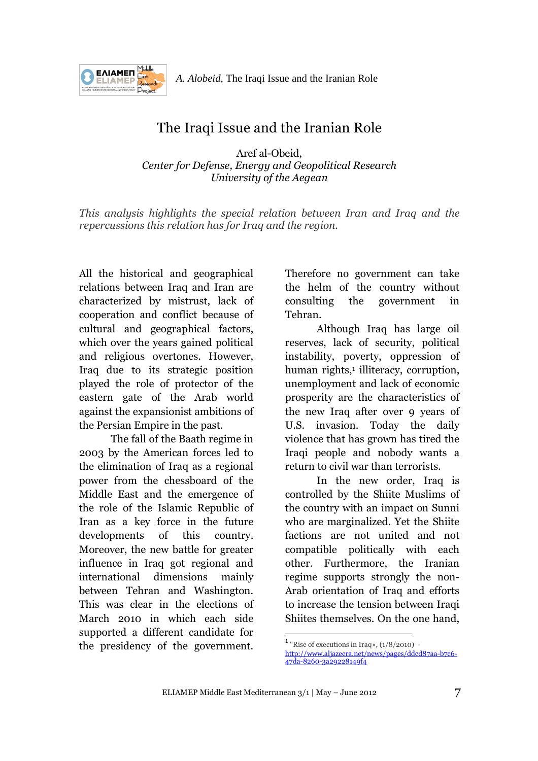

# The Iraqi Issue and the Iranian Role

Aref al-Obeid, *Center for Defense, Energy and Geopolitical Research University of the Aegean* 

*This analysis highlights the special relation between Iran and Iraq and the repercussions this relation has for Iraq and the region.* 

All the historical and geographical relations between Iraq and Iran are characterized by mistrust, lack of cooperation and conflict because of cultural and geographical factors, which over the years gained political and religious overtones. However, Iraq due to its strategic position played the role of protector of the eastern gate of the Arab world against the expansionist ambitions of the Persian Empire in the past.

The fall of the Baath regime in 2003 by the American forces led to the elimination of Iraq as a regional power from the chessboard of the Middle East and the emergence of the role of the Islamic Republic of Iran as a key force in the future developments of this country. Moreover, the new battle for greater influence in Iraq got regional and international dimensions mainly between Tehran and Washington. This was clear in the elections of March 2010 in which each side supported a different candidate for the presidency of the government.

Therefore no government can take the helm of the country without consulting the government in Tehran.

Although Iraq has large oil reserves, lack of security, political instability, poverty, oppression of human rights,<sup>1</sup> illiteracy, corruption, unemployment and lack of economic prosperity are the characteristics of the new Iraq after over 9 years of U.S. invasion. Today the daily violence that has grown has tired the Iraqi people and nobody wants a return to civil war than terrorists.

In the new order, Iraq is controlled by the Shiite Muslims of the country with an impact on Sunni who are marginalized. Yet the Shiite factions are not united and not compatible politically with each other. Furthermore, the Iranian regime supports strongly the non-Arab orientation of Iraq and efforts to increase the tension between Iraqi Shiites themselves. On the one hand,

<sup>&</sup>lt;sup>1</sup> "Rise of executions in Iraq»,  $(1/8/2010)$  -

http://www.aljazeera.net/news/pages/ddcd87aa-b7c6- 47da-8260-3a29228149f4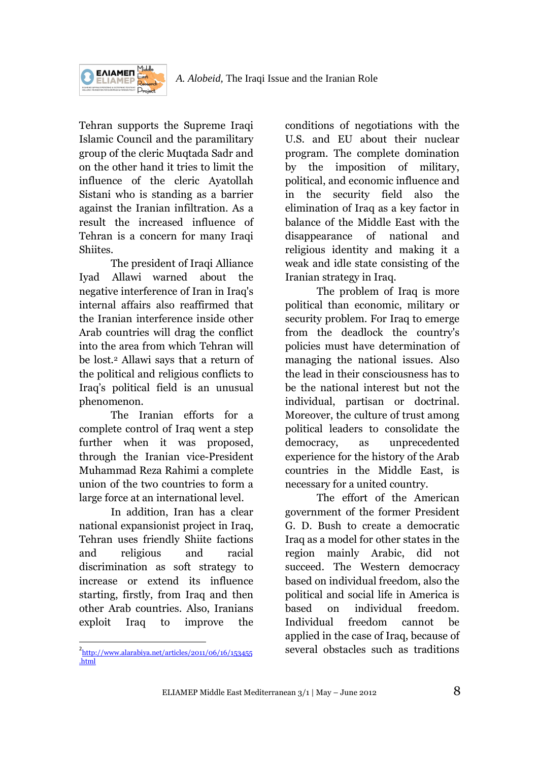



Tehran supports the Supreme Iraqi Islamic Council and the paramilitary group of the cleric Muqtada Sadr and on the other hand it tries to limit the influence of the cleric Ayatollah Sistani who is standing as a barrier against the Iranian infiltration. As a result the increased influence of Tehran is a concern for many Iraqi Shiites.

The president of Iraqi Alliance Iyad Allawi warned about the negative interference of Iran in Iraq's internal affairs also reaffirmed that the Iranian interference inside other Arab countries will drag the conflict into the area from which Tehran will be lost.2 Allawi says that a return of the political and religious conflicts to Iraq's political field is an unusual phenomenon.

The Iranian efforts for a complete control of Iraq went a step further when it was proposed, through the Iranian vice-President Muhammad Reza Rahimi a complete union of the two countries to form a large force at an international level.

In addition, Iran has a clear national expansionist project in Iraq, Tehran uses friendly Shiite factions and religious and racial discrimination as soft strategy to increase or extend its influence starting, firstly, from Iraq and then other Arab countries. Also, Iranians exploit Iraq to improve the

conditions of negotiations with the U.S. and EU about their nuclear program. The complete domination by the imposition of military, political, and economic influence and in the security field also the elimination of Iraq as a key factor in balance of the Middle East with the disappearance of national and religious identity and making it a weak and idle state consisting of the Iranian strategy in Iraq.

The problem of Iraq is more political than economic, military or security problem. For Iraq to emerge from the deadlock the country's policies must have determination of managing the national issues. Also the lead in their consciousness has to be the national interest but not the individual, partisan or doctrinal. Moreover, the culture of trust among political leaders to consolidate the democracy, as unprecedented experience for the history of the Arab countries in the Middle East, is necessary for a united country.

The effort of the American government of the former President G. D. Bush to create a democratic Iraq as a model for other states in the region mainly Arabic, did not succeed. The Western democracy based on individual freedom, also the political and social life in America is based on individual freedom. Individual freedom cannot be applied in the case of Iraq, because of several obstacles such as traditions

l <sup>2</sup>http://www.alarabiya.net/articles/2011/06/16/153455 .html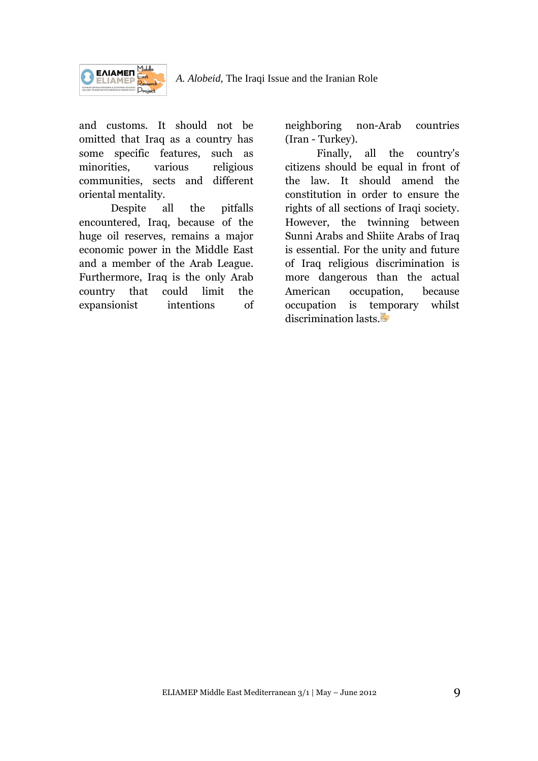

and customs. It should not be omitted that Iraq as a country has some specific features, such as minorities, various religious communities, sects and different oriental mentality.

Despite all the pitfalls encountered, Iraq, because of the huge oil reserves, remains a major economic power in the Middle East and a member of the Arab League. Furthermore, Iraq is the only Arab country that could limit the expansionist intentions of

neighboring non-Arab countries (Iran - Turkey).

Finally, all the country's citizens should be equal in front of the law. It should amend the constitution in order to ensure the rights of all sections of Iraqi society. However, the twinning between Sunni Arabs and Shiite Arabs of Iraq is essential. For the unity and future of Iraq religious discrimination is more dangerous than the actual American occupation, because occupation is temporary whilst discrimination lasts.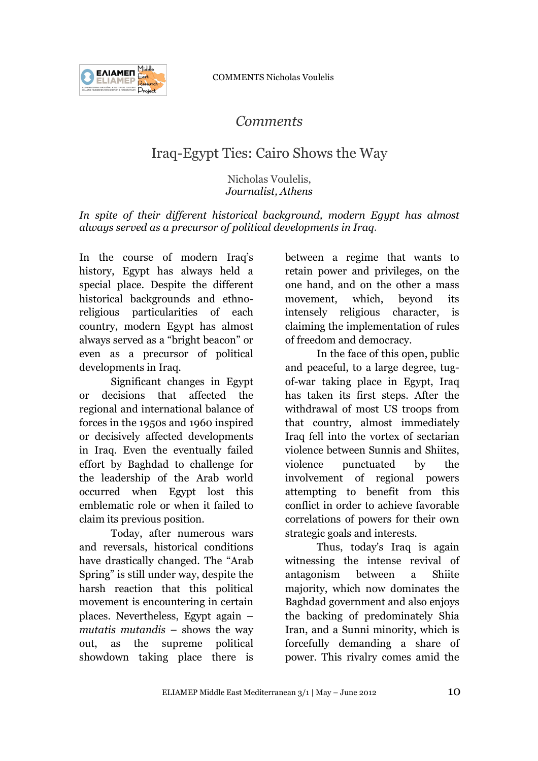COMMENTS Nicholas Voulelis



## *Comments*

# Iraq-Egypt Ties: Cairo Shows the Way

## Nicholas Voulelis, *Journalist, Athens*

*In spite of their different historical background, modern Egypt has almost always served as a precursor of political developments in Iraq.* 

In the course of modern Iraq's history, Egypt has always held a special place. Despite the different historical backgrounds and ethnoreligious particularities of each country, modern Egypt has almost always served as a "bright beacon" or even as a precursor of political developments in Iraq.

Significant changes in Egypt or decisions that affected the regional and international balance of forces in the 1950s and 1960 inspired or decisively affected developments in Iraq. Even the eventually failed effort by Baghdad to challenge for the leadership of the Arab world occurred when Egypt lost this emblematic role or when it failed to claim its previous position.

Today, after numerous wars and reversals, historical conditions have drastically changed. The "Arab Spring" is still under way, despite the harsh reaction that this political movement is encountering in certain places. Nevertheless, Egypt again – *mutatis mutandis* – shows the way out, as the supreme political showdown taking place there is

between a regime that wants to retain power and privileges, on the one hand, and on the other a mass movement, which, beyond its intensely religious character, is claiming the implementation of rules of freedom and democracy.

In the face of this open, public and peaceful, to a large degree, tugof-war taking place in Egypt, Iraq has taken its first steps. After the withdrawal of most US troops from that country, almost immediately Iraq fell into the vortex of sectarian violence between Sunnis and Shiites, violence punctuated by the involvement of regional powers attempting to benefit from this conflict in order to achieve favorable correlations of powers for their own strategic goals and interests.

Thus, today's Iraq is again witnessing the intense revival of antagonism between a Shiite majority, which now dominates the Baghdad government and also enjoys the backing of predominately Shia Iran, and a Sunni minority, which is forcefully demanding a share of power. This rivalry comes amid the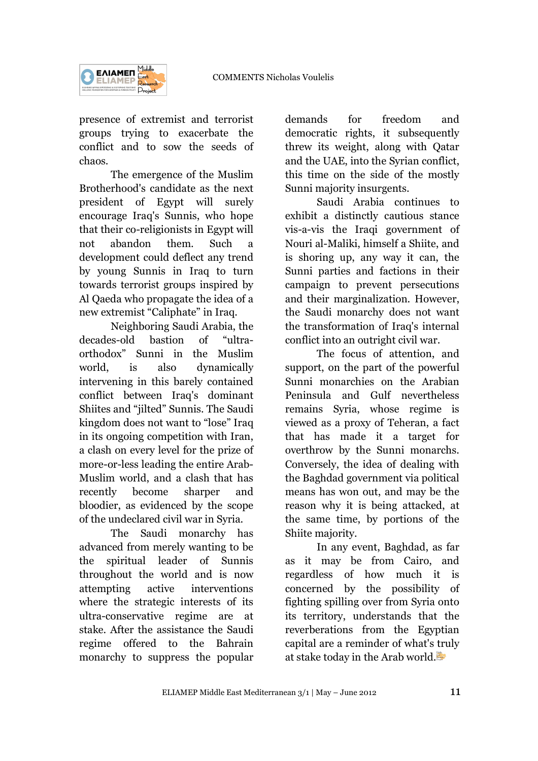

presence of extremist and terrorist groups trying to exacerbate the conflict and to sow the seeds of chaos.

The emergence of the Muslim Brotherhood's candidate as the next president of Egypt will surely encourage Iraq's Sunnis, who hope that their co-religionists in Egypt will not abandon them. Such a development could deflect any trend by young Sunnis in Iraq to turn towards terrorist groups inspired by Al Qaeda who propagate the idea of a new extremist "Caliphate" in Iraq.

Neighboring Saudi Arabia, the decades-old bastion of "ultraorthodox" Sunni in the Muslim world, is also dynamically intervening in this barely contained conflict between Iraq's dominant Shiites and "jilted" Sunnis. The Saudi kingdom does not want to "lose" Iraq in its ongoing competition with Iran, a clash on every level for the prize of more-or-less leading the entire Arab-Muslim world, and a clash that has recently become sharper and bloodier, as evidenced by the scope of the undeclared civil war in Syria.

The Saudi monarchy has advanced from merely wanting to be the spiritual leader of Sunnis throughout the world and is now attempting active interventions where the strategic interests of its ultra-conservative regime are at stake. After the assistance the Saudi regime offered to the Bahrain monarchy to suppress the popular

demands for freedom and democratic rights, it subsequently threw its weight, along with Qatar and the UAE, into the Syrian conflict, this time on the side of the mostly Sunni majority insurgents.

Saudi Arabia continues to exhibit a distinctly cautious stance vis-a-vis the Iraqi government of Nouri al-Maliki, himself a Shiite, and is shoring up, any way it can, the Sunni parties and factions in their campaign to prevent persecutions and their marginalization. However, the Saudi monarchy does not want the transformation of Iraq's internal conflict into an outright civil war.

The focus of attention, and support, on the part of the powerful Sunni monarchies on the Arabian Peninsula and Gulf nevertheless remains Syria, whose regime is viewed as a proxy of Teheran, a fact that has made it a target for overthrow by the Sunni monarchs. Conversely, the idea of dealing with the Baghdad government via political means has won out, and may be the reason why it is being attacked, at the same time, by portions of the Shiite majority.

In any event, Baghdad, as far as it may be from Cairo, and regardless of how much it is concerned by the possibility of fighting spilling over from Syria onto its territory, understands that the reverberations from the Egyptian capital are a reminder of what's truly at stake today in the Arab world.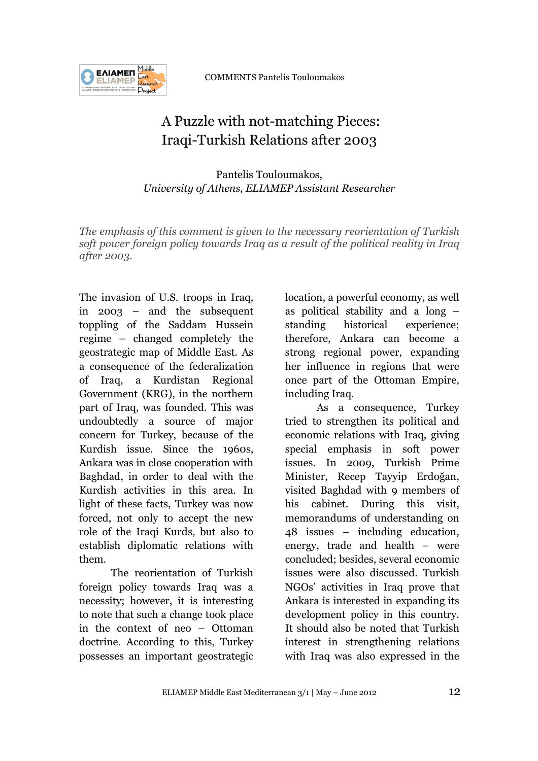

# A Puzzle with not-matching Pieces: Iraqi-Turkish Relations after 2003

Pantelis Touloumakos, *University of Athens, ELIAMEP Assistant Researcher*

*The emphasis of this comment is given to the necessary reorientation of Turkish soft power foreign policy towards Iraq as a result of the political reality in Iraq after 2003.* 

The invasion of U.S. troops in Iraq, in 2003 – and the subsequent toppling of the Saddam Hussein regime – changed completely the geostrategic map of Middle East. As a consequence of the federalization of Iraq, a Kurdistan Regional Government (KRG), in the northern part of Iraq, was founded. This was undoubtedly a source of major concern for Turkey, because of the Kurdish issue. Since the 1960s, Ankara was in close cooperation with Baghdad, in order to deal with the Kurdish activities in this area. In light of these facts, Turkey was now forced, not only to accept the new role of the Iraqi Kurds, but also to establish diplomatic relations with them.

The reorientation of Turkish foreign policy towards Iraq was a necessity; however, it is interesting to note that such a change took place in the context of neo – Ottoman doctrine. According to this, Turkey possesses an important geostrategic

location, a powerful economy, as well as political stability and a long – standing historical experience; therefore, Ankara can become a strong regional power, expanding her influence in regions that were once part of the Ottoman Empire, including Iraq.

As a consequence, Turkey tried to strengthen its political and economic relations with Iraq, giving special emphasis in soft power issues. In 2009, Turkish Prime Minister, Recep Tayyip Erdoğan, visited Baghdad with 9 members of his cabinet. During this visit, memorandums of understanding on 48 issues – including education, energy, trade and health – were concluded; besides, several economic issues were also discussed. Turkish NGOs' activities in Iraq prove that Ankara is interested in expanding its development policy in this country. It should also be noted that Turkish interest in strengthening relations with Iraq was also expressed in the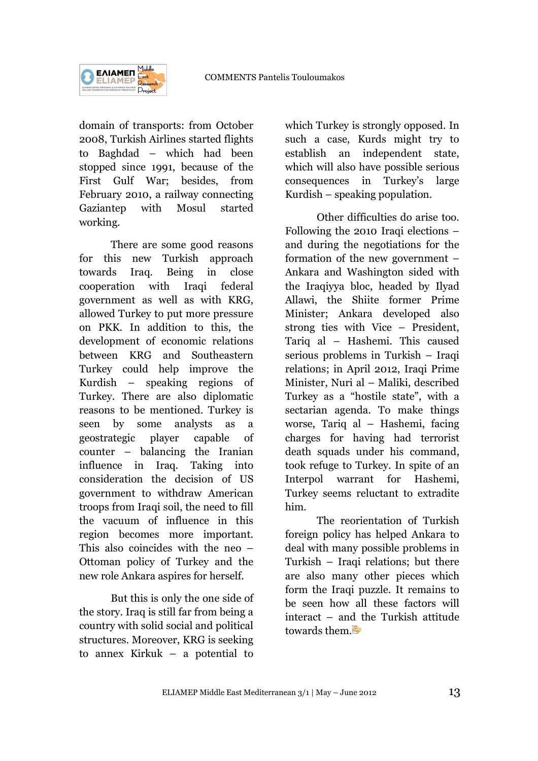

domain of transports: from October 2008, Turkish Airlines started flights to Baghdad – which had been stopped since 1991, because of the First Gulf War; besides, from February 2010, a railway connecting Gaziantep with Mosul started working.

There are some good reasons for this new Turkish approach towards Iraq. Being in close cooperation with Iraqi federal government as well as with KRG, allowed Turkey to put more pressure on PKK. In addition to this, the development of economic relations between KRG and Southeastern Turkey could help improve the Kurdish – speaking regions of Turkey. There are also diplomatic reasons to be mentioned. Turkey is seen by some analysts as a geostrategic player capable of counter – balancing the Iranian influence in Iraq. Taking into consideration the decision of US government to withdraw American troops from Iraqi soil, the need to fill the vacuum of influence in this region becomes more important. This also coincides with the neo – Ottoman policy of Turkey and the new role Ankara aspires for herself.

But this is only the one side of the story. Iraq is still far from being a country with solid social and political structures. Moreover, KRG is seeking to annex Kirkuk – a potential to

which Turkey is strongly opposed. In such a case, Kurds might try to establish an independent state, which will also have possible serious consequences in Turkey's large Kurdish – speaking population.

Other difficulties do arise too. Following the 2010 Iraqi elections – and during the negotiations for the formation of the new government – Ankara and Washington sided with the Iraqiyya bloc, headed by Ilyad Allawi, the Shiite former Prime Minister; Ankara developed also strong ties with Vice – President, Tariq al – Hashemi. This caused serious problems in Turkish – Iraqi relations; in April 2012, Iraqi Prime Minister, Nuri al – Maliki, described Turkey as a "hostile state", with a sectarian agenda. To make things worse, Tariq al – Hashemi, facing charges for having had terrorist death squads under his command. took refuge to Turkey. In spite of an Interpol warrant for Hashemi, Turkey seems reluctant to extradite him.

The reorientation of Turkish foreign policy has helped Ankara to deal with many possible problems in Turkish – Iraqi relations; but there are also many other pieces which form the Iraqi puzzle. It remains to be seen how all these factors will interact – and the Turkish attitude towards them.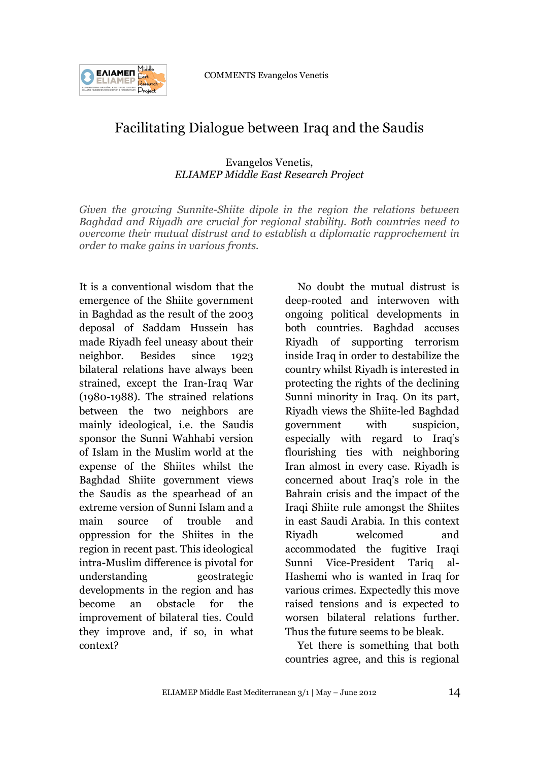

# Facilitating Dialogue between Iraq and the Saudis

Evangelos Venetis, *ELIAMEP Middle East Research Project*

*Given the growing Sunnite-Shiite dipole in the region the relations between Baghdad and Riyadh are crucial for regional stability. Both countries need to overcome their mutual distrust and to establish a diplomatic rapprochement in order to make gains in various fronts.* 

It is a conventional wisdom that the emergence of the Shiite government in Baghdad as the result of the 2003 deposal of Saddam Hussein has made Riyadh feel uneasy about their neighbor. Besides since 1923 bilateral relations have always been strained, except the Iran-Iraq War (1980-1988). The strained relations between the two neighbors are mainly ideological, i.e. the Saudis sponsor the Sunni Wahhabi version of Islam in the Muslim world at the expense of the Shiites whilst the Baghdad Shiite government views the Saudis as the spearhead of an extreme version of Sunni Islam and a main source of trouble and oppression for the Shiites in the region in recent past. This ideological intra-Muslim difference is pivotal for understanding geostrategic developments in the region and has become an obstacle for the improvement of bilateral ties. Could they improve and, if so, in what context?

No doubt the mutual distrust is deep-rooted and interwoven with ongoing political developments in both countries. Baghdad accuses Riyadh of supporting terrorism inside Iraq in order to destabilize the country whilst Riyadh is interested in protecting the rights of the declining Sunni minority in Iraq. On its part, Riyadh views the Shiite-led Baghdad government with suspicion, especially with regard to Iraq's flourishing ties with neighboring Iran almost in every case. Riyadh is concerned about Iraq's role in the Bahrain crisis and the impact of the Iraqi Shiite rule amongst the Shiites in east Saudi Arabia. In this context Riyadh welcomed and accommodated the fugitive Iraqi Sunni Vice-President Tariq al-Hashemi who is wanted in Iraq for various crimes. Expectedly this move raised tensions and is expected to worsen bilateral relations further. Thus the future seems to be bleak.

Yet there is something that both countries agree, and this is regional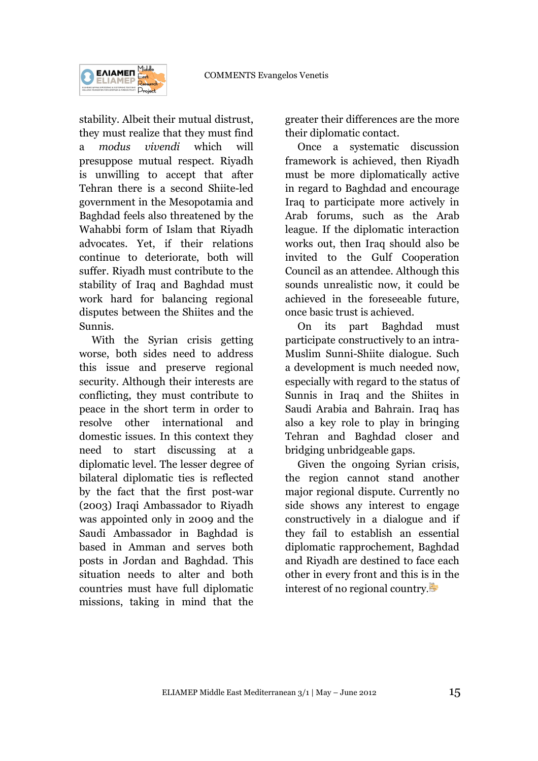

stability. Albeit their mutual distrust, they must realize that they must find a *modus vivendi* which will presuppose mutual respect. Riyadh is unwilling to accept that after Tehran there is a second Shiite-led government in the Mesopotamia and Baghdad feels also threatened by the Wahabbi form of Islam that Riyadh advocates. Yet, if their relations continue to deteriorate, both will suffer. Riyadh must contribute to the stability of Iraq and Baghdad must work hard for balancing regional disputes between the Shiites and the Sunnis.

With the Syrian crisis getting worse, both sides need to address this issue and preserve regional security. Although their interests are conflicting, they must contribute to peace in the short term in order to resolve other international and domestic issues. In this context they need to start discussing at a diplomatic level. The lesser degree of bilateral diplomatic ties is reflected by the fact that the first post-war (2003) Iraqi Ambassador to Riyadh was appointed only in 2009 and the Saudi Ambassador in Baghdad is based in Amman and serves both posts in Jordan and Baghdad. This situation needs to alter and both countries must have full diplomatic missions, taking in mind that the

greater their differences are the more their diplomatic contact.

Once a systematic discussion framework is achieved, then Riyadh must be more diplomatically active in regard to Baghdad and encourage Iraq to participate more actively in Arab forums, such as the Arab league. If the diplomatic interaction works out, then Iraq should also be invited to the Gulf Cooperation Council as an attendee. Although this sounds unrealistic now, it could be achieved in the foreseeable future, once basic trust is achieved.

On its part Baghdad must participate constructively to an intra-Muslim Sunni-Shiite dialogue. Such a development is much needed now, especially with regard to the status of Sunnis in Iraq and the Shiites in Saudi Arabia and Bahrain. Iraq has also a key role to play in bringing Tehran and Baghdad closer and bridging unbridgeable gaps.

Given the ongoing Syrian crisis, the region cannot stand another major regional dispute. Currently no side shows any interest to engage constructively in a dialogue and if they fail to establish an essential diplomatic rapprochement, Baghdad and Riyadh are destined to face each other in every front and this is in the interest of no regional country.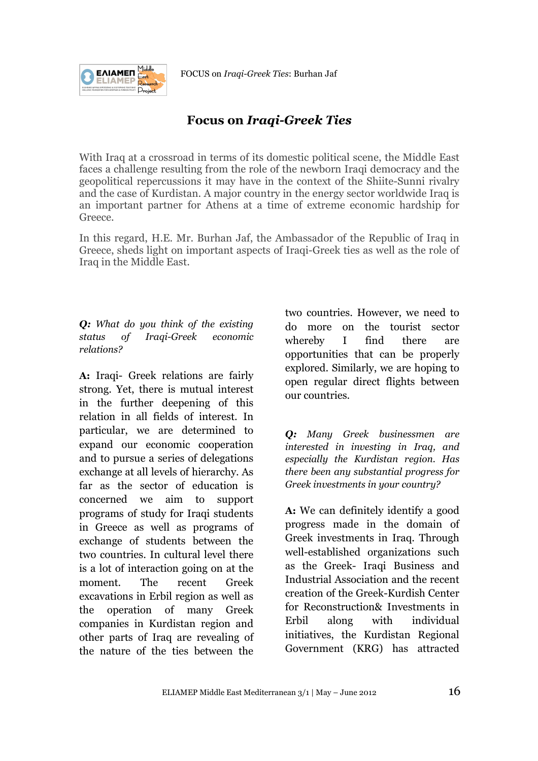

# **Focus on** *Iraqi-Greek Ties*

With Iraq at a crossroad in terms of its domestic political scene, the Middle East faces a challenge resulting from the role of the newborn Iraqi democracy and the geopolitical repercussions it may have in the context of the Shiite-Sunni rivalry and the case of Kurdistan. A major country in the energy sector worldwide Iraq is an important partner for Athens at a time of extreme economic hardship for Greece.

In this regard, H.E. Mr. Burhan Jaf, the Ambassador of the Republic of Iraq in Greece, sheds light on important aspects of Iraqi-Greek ties as well as the role of Iraq in the Middle East.

*Q: What do you think of the existing status of Iraqi-Greek economic relations?* 

**A:** Iraqi- Greek relations are fairly strong. Yet, there is mutual interest in the further deepening of this relation in all fields of interest. In particular, we are determined to expand our economic cooperation and to pursue a series of delegations exchange at all levels of hierarchy. As far as the sector of education is concerned we aim to support programs of study for Iraqi students in Greece as well as programs of exchange of students between the two countries. In cultural level there is a lot of interaction going on at the moment. The recent Greek excavations in Erbil region as well as the operation of many Greek companies in Kurdistan region and other parts of Iraq are revealing of the nature of the ties between the

two countries. However, we need to do more on the tourist sector whereby I find there are opportunities that can be properly explored. Similarly, we are hoping to open regular direct flights between our countries.

*Q: Many Greek businessmen are interested in investing in Iraq, and especially the Kurdistan region. Has there been any substantial progress for Greek investments in your country?* 

**A:** We can definitely identify a good progress made in the domain of Greek investments in Iraq. Through well-established organizations such as the Greek- Iraqi Business and Industrial Association and the recent creation of the Greek-Kurdish Center for Reconstruction& Investments in Erbil along with individual initiatives, the Kurdistan Regional Government (KRG) has attracted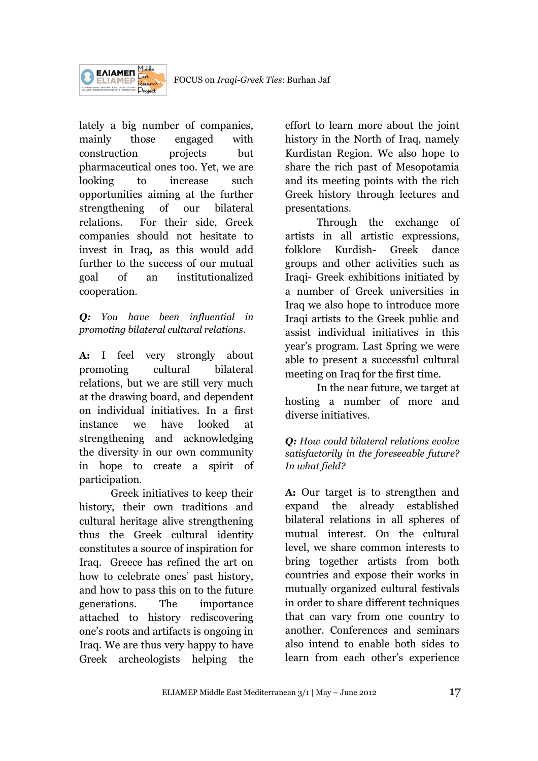

lately a big number of companies, mainly those engaged with construction projects but pharmaceutical ones too. Yet, we are looking to increase such opportunities aiming at the further strengthening of our bilateral relations. For their side, Greek companies should not hesitate to invest in Iraq, as this would add further to the success of our mutual goal of an institutionalized cooperation.

*Q: You have been influential in promoting bilateral cultural relations.* 

**A:** I feel very strongly about promoting cultural bilateral relations, but we are still very much at the drawing board, and dependent on individual initiatives. In a first instance we have looked at strengthening and acknowledging the diversity in our own community in hope to create a spirit of participation.

Greek initiatives to keep their history, their own traditions and cultural heritage alive strengthening thus the Greek cultural identity constitutes a source of inspiration for Iraq. Greece has refined the art on how to celebrate ones' past history, and how to pass this on to the future generations. The importance attached to history rediscovering one's roots and artifacts is ongoing in Iraq. We are thus very happy to have Greek archeologists helping the

effort to learn more about the joint history in the North of Iraq, namely Kurdistan Region. We also hope to share the rich past of Mesopotamia and its meeting points with the rich Greek history through lectures and presentations.

Through the exchange of artists in all artistic expressions, folklore Kurdish- Greek dance groups and other activities such as Iraqi- Greek exhibitions initiated by a number of Greek universities in Iraq we also hope to introduce more Iraqi artists to the Greek public and assist individual initiatives in this year's program. Last Spring we were able to present a successful cultural meeting on Iraq for the first time.

In the near future, we target at hosting a number of more and diverse initiatives.

## *Q: How could bilateral relations evolve satisfactorily in the foreseeable future? In what field?*

**A:** Our target is to strengthen and expand the already established bilateral relations in all spheres of mutual interest. On the cultural level, we share common interests to bring together artists from both countries and expose their works in mutually organized cultural festivals in order to share different techniques that can vary from one country to another. Conferences and seminars also intend to enable both sides to learn from each other's experience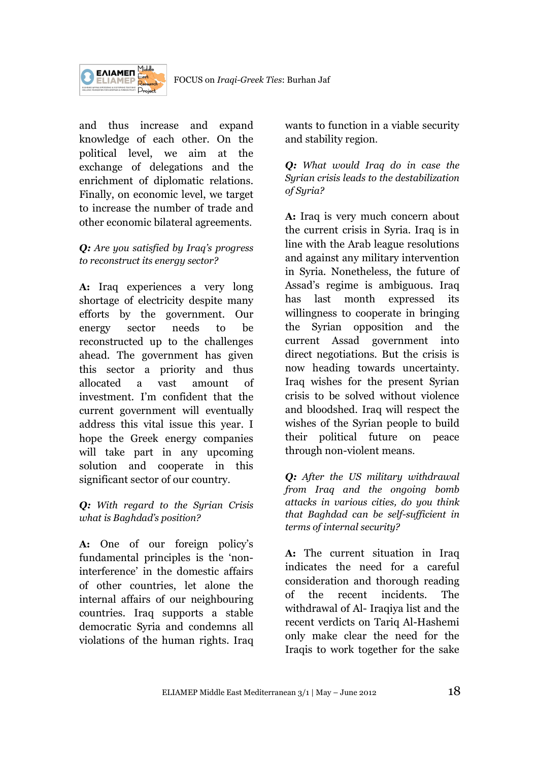

and thus increase and expand knowledge of each other. On the political level, we aim at the exchange of delegations and the enrichment of diplomatic relations. Finally, on economic level, we target to increase the number of trade and other economic bilateral agreements.

## *Q: Are you satisfied by Iraq's progress to reconstruct its energy sector?*

**A:** Iraq experiences a very long shortage of electricity despite many efforts by the government. Our energy sector needs to be reconstructed up to the challenges ahead. The government has given this sector a priority and thus allocated a vast amount of investment. I'm confident that the current government will eventually address this vital issue this year. I hope the Greek energy companies will take part in any upcoming solution and cooperate in this significant sector of our country.

## *Q: With regard to the Syrian Crisis what is Baghdad's position?*

**A:** One of our foreign policy's fundamental principles is the 'noninterference' in the domestic affairs of other countries, let alone the internal affairs of our neighbouring countries. Iraq supports a stable democratic Syria and condemns all violations of the human rights. Iraq

wants to function in a viable security and stability region.

## *Q: What would Iraq do in case the Syrian crisis leads to the destabilization of Syria?*

**A:** Iraq is very much concern about the current crisis in Syria. Iraq is in line with the Arab league resolutions and against any military intervention in Syria. Nonetheless, the future of Assad's regime is ambiguous. Iraq has last month expressed its willingness to cooperate in bringing the Syrian opposition and the current Assad government into direct negotiations. But the crisis is now heading towards uncertainty. Iraq wishes for the present Syrian crisis to be solved without violence and bloodshed. Iraq will respect the wishes of the Syrian people to build their political future on peace through non-violent means.

*Q: After the US military withdrawal from Iraq and the ongoing bomb attacks in various cities, do you think that Baghdad can be self-sufficient in terms of internal security?* 

**A:** The current situation in Iraq indicates the need for a careful consideration and thorough reading of the recent incidents. The withdrawal of Al- Iraqiya list and the recent verdicts on Tariq Al-Hashemi only make clear the need for the Iraqis to work together for the sake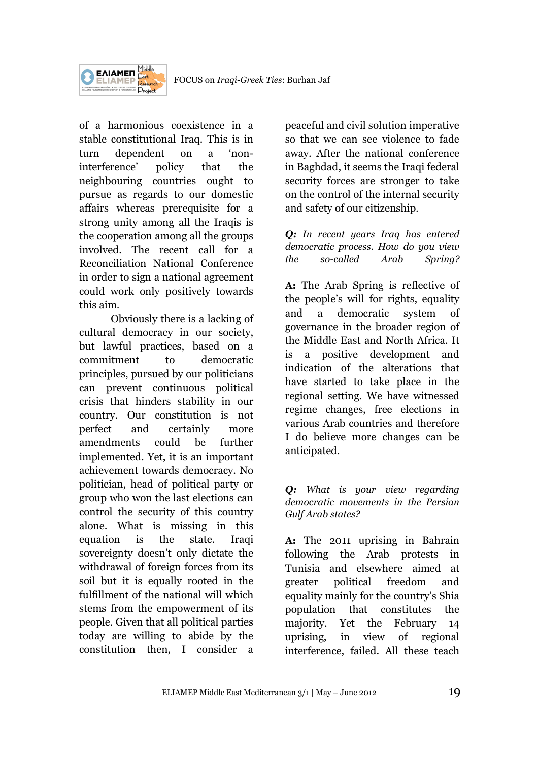

of a harmonious coexistence in a stable constitutional Iraq. This is in turn dependent on a 'noninterference' policy that the neighbouring countries ought to pursue as regards to our domestic affairs whereas prerequisite for a strong unity among all the Iraqis is the cooperation among all the groups involved. The recent call for a Reconciliation National Conference in order to sign a national agreement could work only positively towards this aim.

Obviously there is a lacking of cultural democracy in our society, but lawful practices, based on a commitment to democratic principles, pursued by our politicians can prevent continuous political crisis that hinders stability in our country. Our constitution is not perfect and certainly more amendments could be further implemented. Yet, it is an important achievement towards democracy. No politician, head of political party or group who won the last elections can control the security of this country alone. What is missing in this equation is the state. Iraqi sovereignty doesn't only dictate the withdrawal of foreign forces from its soil but it is equally rooted in the fulfillment of the national will which stems from the empowerment of its people. Given that all political parties today are willing to abide by the constitution then, I consider a

peaceful and civil solution imperative so that we can see violence to fade away. After the national conference in Baghdad, it seems the Iraqi federal security forces are stronger to take on the control of the internal security and safety of our citizenship.

*Q: In recent years Iraq has entered democratic process. How do you view the so-called Arab Spring?* 

**A:** The Arab Spring is reflective of the people's will for rights, equality and a democratic system of governance in the broader region of the Middle East and North Africa. It is a positive development and indication of the alterations that have started to take place in the regional setting. We have witnessed regime changes, free elections in various Arab countries and therefore I do believe more changes can be anticipated.

*Q: What is your view regarding democratic movements in the Persian Gulf Arab states?* 

**A:** The 2011 uprising in Bahrain following the Arab protests in Tunisia and elsewhere aimed at greater political freedom and equality mainly for the country's Shia population that constitutes the majority. Yet the February 14 uprising, in view of regional interference, failed. All these teach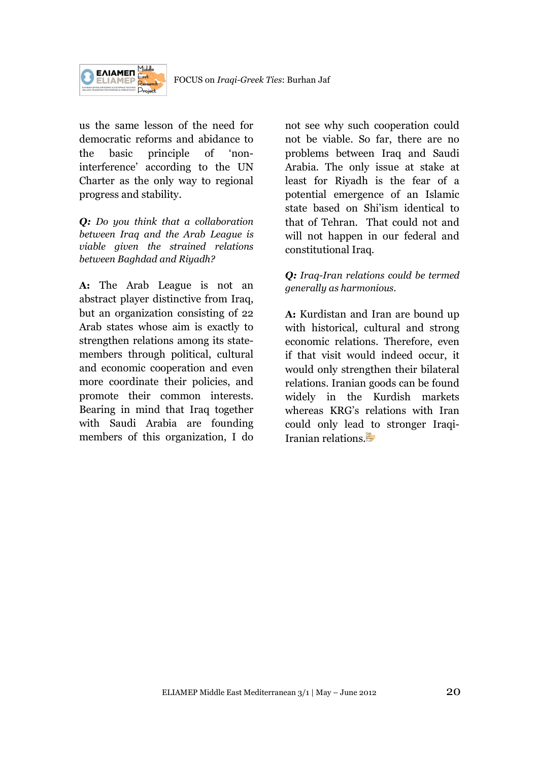

us the same lesson of the need for democratic reforms and abidance to the basic principle of 'noninterference' according to the UN Charter as the only way to regional progress and stability.

*Q: Do you think that a collaboration between Iraq and the Arab League is viable given the strained relations between Baghdad and Riyadh?* 

**A:** The Arab League is not an abstract player distinctive from Iraq, but an organization consisting of 22 Arab states whose aim is exactly to strengthen relations among its statemembers through political, cultural and economic cooperation and even more coordinate their policies, and promote their common interests. Bearing in mind that Iraq together with Saudi Arabia are founding members of this organization, I do

not see why such cooperation could not be viable. So far, there are no problems between Iraq and Saudi Arabia. The only issue at stake at least for Riyadh is the fear of a potential emergence of an Islamic state based on Shi'ism identical to that of Tehran. That could not and will not happen in our federal and constitutional Iraq.

## *Q: Iraq-Iran relations could be termed generally as harmonious.*

**A:** Kurdistan and Iran are bound up with historical, cultural and strong economic relations. Therefore, even if that visit would indeed occur, it would only strengthen their bilateral relations. Iranian goods can be found widely in the Kurdish markets whereas KRG's relations with Iran could only lead to stronger Iraqi-Iranian relations.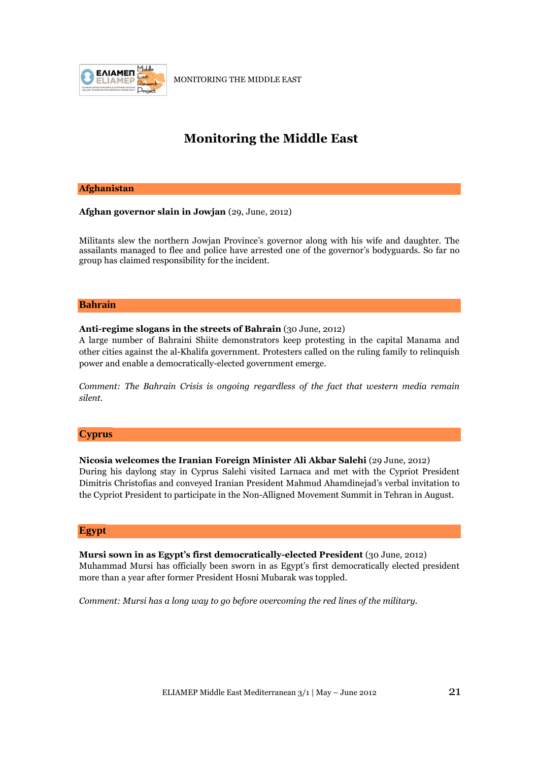

MONITORING THE MIDDLE EAST

# **Monitoring the Middle East**

#### **Afghanistan**

#### **Afghan governor slain in Jowjan** (29, June, 2012)

Militants slew the northern Jowjan Province's governor along with his wife and daughter. The assailants managed to flee and police have arrested one of the governor's bodyguards. So far no group has claimed responsibility for the incident.

#### **Bahrain**

#### **Anti-regime slogans in the streets of Bahrain** (30 June, 2012)

A large number of Bahraini Shiite demonstrators keep protesting in the capital Manama and other cities against the al-Khalifa government. Protesters called on the ruling family to relinquish power and enable a democratically-elected government emerge.

*Comment: The Bahrain Crisis is ongoing regardless of the fact that western media remain silent.* 

#### **Cyprus**

**Nicosia welcomes the Iranian Foreign Minister Ali Akbar Salehi** (29 June, 2012) During his daylong stay in Cyprus Salehi visited Larnaca and met with the Cypriot President Dimitris Christofias and conveyed Iranian President Mahmud Ahamdinejad's verbal invitation to the Cypriot President to participate in the Non-Alligned Movement Summit in Tehran in August.

#### **Egypt**

**Mursi sown in as Egypt's first democratically-elected President** (30 June, 2012) Muhammad Mursi has officially been sworn in as Egypt's first democratically elected president more than a year after former President Hosni Mubarak was toppled.

*Comment: Mursi has a long way to go before overcoming the red lines of the military.*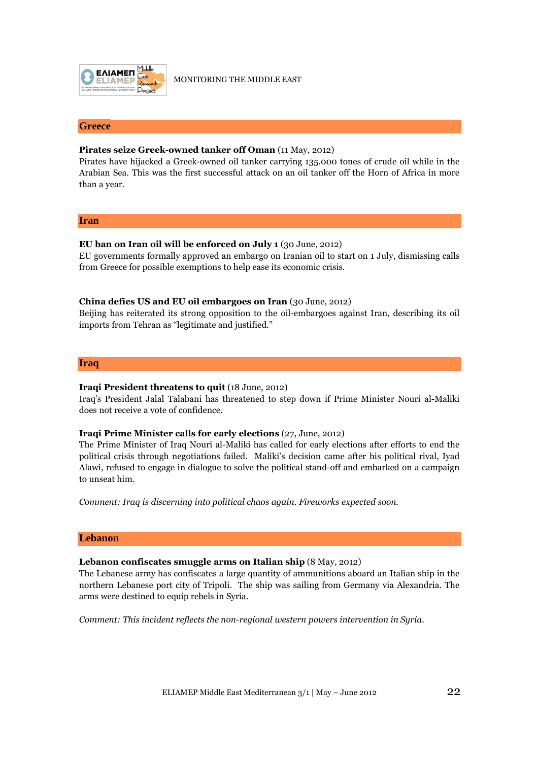

MONITORING THE MIDDLE EAST

#### **Greece**

#### **Pirates seize Greek-owned tanker off Oman** (11 May, 2012)

Pirates have hijacked a Greek-owned oil tanker carrying 135.000 tones of crude oil while in the Arabian Sea. This was the first successful attack on an oil tanker off the Horn of Africa in more than a year.

#### **Iran**

#### **EU ban on Iran oil will be enforced on July 1** (30 June, 2012)

EU governments formally approved an embargo on Iranian oil to start on 1 July, dismissing calls from Greece for possible exemptions to help ease its economic crisis.

#### **China defies US and EU oil embargoes on Iran** (30 June, 2012)

Beijing has reiterated its strong opposition to the oil-embargoes against Iran, describing its oil imports from Tehran as "legitimate and justified."

#### **Iraq**

#### **Iraqi President threatens to quit** (18 June, 2012)

Iraq's President Jalal Talabani has threatened to step down if Prime Minister Nouri al-Maliki does not receive a vote of confidence.

#### **Iraqi Prime Minister calls for early elections** (27, June, 2012)

The Prime Minister of Iraq Nouri al-Maliki has called for early elections after efforts to end the political crisis through negotiations failed. Maliki's decision came after his political rival, Iyad Alawi, refused to engage in dialogue to solve the political stand-off and embarked on a campaign to unseat him.

*Comment: Iraq is discerning into political chaos again. Fireworks expected soon.*

#### **Lebanon**

#### **Lebanon confiscates smuggle arms on Italian ship** (8 May, 2012)

The Lebanese army has confiscates a large quantity of ammunitions aboard an Italian ship in the northern Lebanese port city of Tripoli. The ship was sailing from Germany via Alexandria. The arms were destined to equip rebels in Syria.

*Comment: This incident reflects the non-regional western powers intervention in Syria.*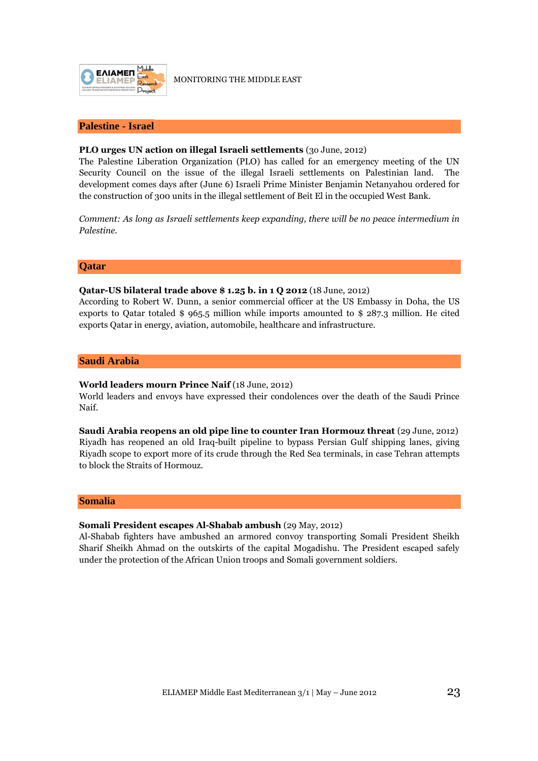

#### **Palestine - Israel**

#### **PLO urges UN action on illegal Israeli settlements** (3o June, 2012)

The Palestine Liberation Organization (PLO) has called for an emergency meeting of the UN Security Council on the issue of the illegal Israeli settlements on Palestinian land. The development comes days after (June 6) Israeli Prime Minister Benjamin Netanyahou ordered for the construction of 300 units in the illegal settlement of Beit El in the occupied West Bank.

*Comment: As long as Israeli settlements keep expanding, there will be no peace intermedium in Palestine.* 

#### **Qatar**

#### **Qatar-US bilateral trade above \$ 1.25 b. in 1 Q 2012** (18 June, 2012)

According to Robert W. Dunn, a senior commercial officer at the US Embassy in Doha, the US exports to Qatar totaled \$ 965.5 million while imports amounted to \$ 287.3 million. He cited exports Qatar in energy, aviation, automobile, healthcare and infrastructure.

#### **Saudi Arabia**

#### **World leaders mourn Prince Naif** (18 June, 2012)

World leaders and envoys have expressed their condolences over the death of the Saudi Prince Naif.

**Saudi Arabia reopens an old pipe line to counter Iran Hormouz threat** (29 June, 2012) Riyadh has reopened an old Iraq-built pipeline to bypass Persian Gulf shipping lanes, giving Riyadh scope to export more of its crude through the Red Sea terminals, in case Tehran attempts to block the Straits of Hormouz.

#### **Somalia**

#### **Somali President escapes Al-Shabab ambush** (29 May, 2012)

Al-Shabab fighters have ambushed an armored convoy transporting Somali President Sheikh Sharif Sheikh Ahmad on the outskirts of the capital Mogadishu. The President escaped safely under the protection of the African Union troops and Somali government soldiers.